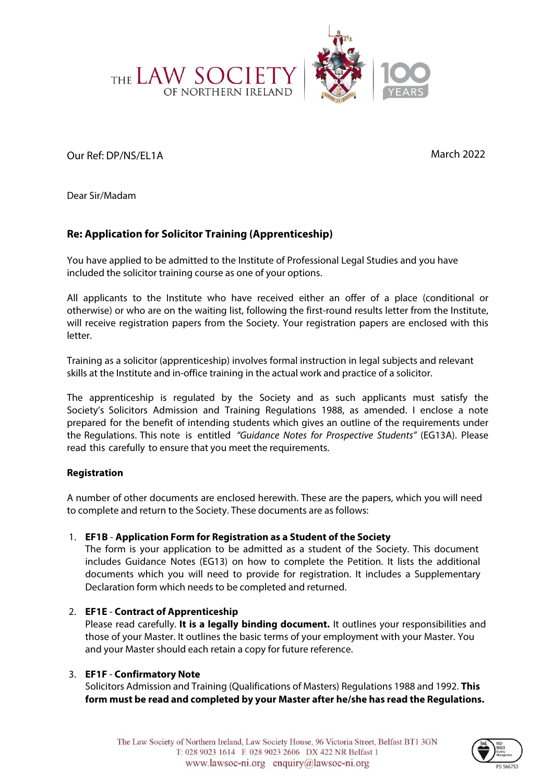

Our Ref: DP/NS/EL1A March 2022

Dear Sir/Madam

# **Re: Application for Solicitor Training (Apprenticeship)**

You have applied to be admitted to the Institute of Professional Legal Studies and you have included the solicitor training course as one of your options.

All applicants to the Institute who have received either an offer of a place (conditional or otherwise) or who are on the waiting list, following the first-round results letter from the Institute, will receive registration papers from the Society. Your registration papers are enclosed with this letter.

Training as a solicitor (apprenticeship) involves formal instruction in legal subjects and relevant skills at the Institute and in-office training in the actual work and practice of a solicitor.

The apprenticeship is regulated by the Society and as such applicants must satisfy the Society's Solicitors Admission and Training Regulations 1988, as amended. I enclose a note prepared for the benefit of intending students which gives an outline of the requirements under the Regulations. This note is entitled "Guidance Notes for Prospective Students" (EG13A). Please read this carefully to ensure that you meet the requirements.

# **Registration**

A number of other documents are enclosed herewith. These are the papers, which you will need to complete and return to the Society. These documents are as follows:

# 1. **EF1B** - **Application Form for Registration as a Student of the Society**

The form is your application to be admitted as a student of the Society. This document includes Guidance Notes (EG13) on how to complete the Petition. It lists the additional documents which you will need to provide for registration. It includes a Supplementary Declaration form which needs to be completed and returned.

# 2. **EF1E** - **Contract of Apprenticeship**

Please read carefully. **It is a legally binding document.** It outlines your responsibilities and those of your Master. It outlines the basic terms of your employment with your Master. You and your Master should each retain a copy for future reference.

# 3. **EF1F** - **Confirmatory Note**

Solicitors Admission and Training (Qualifications of Masters) Regulations 1988 and 1992. **This form must be read and completed by your Master after he/she has read the Regulations.**

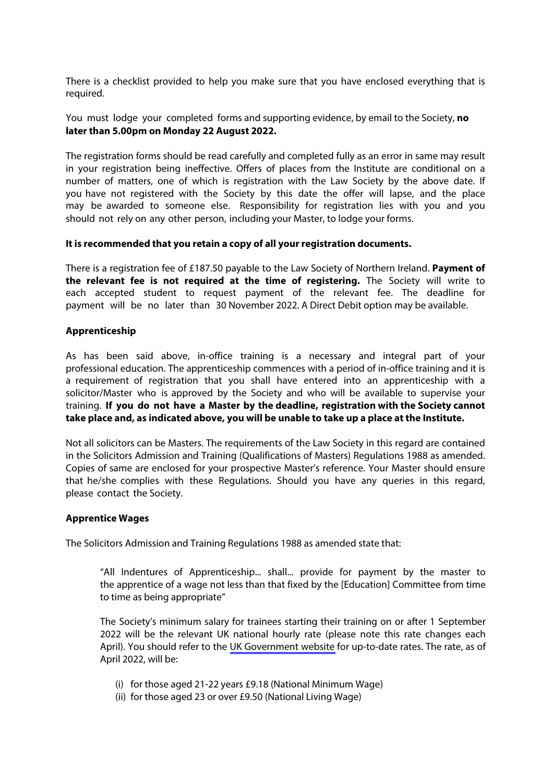There is a checklist provided to help you make sure that you have enclosed everything that is required.

You must lodge your completed forms and supporting evidence, by email to the Society, **no later than 5.00pm on Monday 22 August 2022.** 

The registration forms should be read carefully and completed fully as an error in same may result in your registration being ineffective. Offers of places from the Institute are conditional on a number of matters, one of which is registration with the Law Society by the above date. If you have not registered with the Society by this date the offer will lapse, and the place may be awarded to someone else. Responsibility for registration lies with you and you should not rely on any other person, including your Master, to lodge your forms.

#### **It is recommended that you retain a copy of all your registration documents.**

There is a registration fee of £187.50 payable to the Law Society of Northern Ireland. **Payment of the relevant fee is not required at the time of registering.** The Society will write to each accepted student to request payment of the relevant fee. The deadline for payment will be no later than 30 November 2022. A Direct Debit option may be available.

#### **Apprenticeship**

As has been said above, in-office training is a necessary and integral part of your professional education. The apprenticeship commences with a period of in-office training and it is a requirement of registration that you shall have entered into an apprenticeship with a solicitor/Master who is approved by the Society and who will be available to supervise your training. **If you do not have a Master by the deadline, registration with the Society cannot take place and, as indicated above, you will be unable to take up a place at the Institute.**

Not all solicitors can be Masters. The requirements of the Law Society in this regard are contained in the Solicitors Admission and Training (Qualifications of Masters) Regulations 1988 as amended. Copies of same are enclosed for your prospective Master's reference. Your Master should ensure that he/she complies with these Regulations. Should you have any queries in this regard, please contact the Society.

#### **Apprentice Wages**

The Solicitors Admission and Training Regulations 1988 as amended state that:

"All Indentures of Apprenticeship... shall... provide for payment by the master to the apprentice of a wage not less than that fixed by the [Education] Committee from time to time as being appropriate"

The Society's minimum salary for trainees starting their training on or after 1 September 2022 will be the relevant UK national hourly rate (please note this rate changes each April). You should refer to the [UK Government website](https://www.gov.uk/national-minimum-wage-rates) for up-to-date rates. The rate, as of April 2022, will be:

- (i) for those aged 21-22 years £9.18 (National Minimum Wage)
- (ii) for those aged 23 or over £9.50 (National Living Wage)